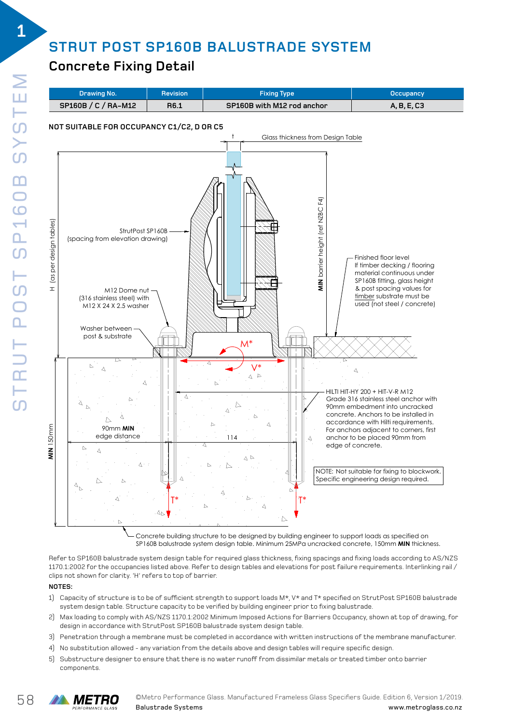# **STRUT POST SP160B BALUSTRADE SYSTEM**

## **Fixture: Sping Type: SP160B with M12 rod anchor Occupancy: SP160B with M12 rod anchor Occupancy: A, B, E, C336**



Concrete building structure to be designed by building engineer to support loads as specified on SP160B balustrade system design table. Minimum 25MPa uncracked concrete, 150mm **MIN** thickness.

Refer to SP160B balustrade system design table for required glass thickness, fixing spacings and fixing loads according to AS/NZS **Notes:** 1170.1:2002 for the occupancies listed above. Refer to design tables and elevations for post failure requirements. Interlinking rail / clips not shown for clarity. 'H' refers to top of barrier. nerer to be flood balustrade system design table for Feduli ed glass unckness, hang spacifies and hang loads according to A.

#### **NOTES:**   $\overline{\text{MOTFS}}$  in accordance with StrutPost Se160B balustrade system design table.

- 1) Capacity of structure is to be of sufficient strength to support loads M\*, V\* and T\* specified on StrutPost SP160B balustrade system design table. Structure capacity to be verified by building engineer prior to fixing balustrade.  $\text{I}$ ) - Gapacity or structure is to be detailed about acrength to support idads M^, V^ and T^ specified on Stru
- 2) Max loading to comply with AS/NZS 1170.1:2002 Minimum Imposed Actions for Barriers Occupancy, shown at top of drawing, for design in accordance with StrutPost SP160B balustrade system design table.
- 3) Penetration through a membrane must be completed in accordance with written instructions of the membrane manufacturer.<br>.
- 4) No substitution allowed any variation from the details above and design tables will require specific design.
- 5) Substructure designer to ensure that there is no water runoff from dissimilar metals or treated timber onto barrier components.

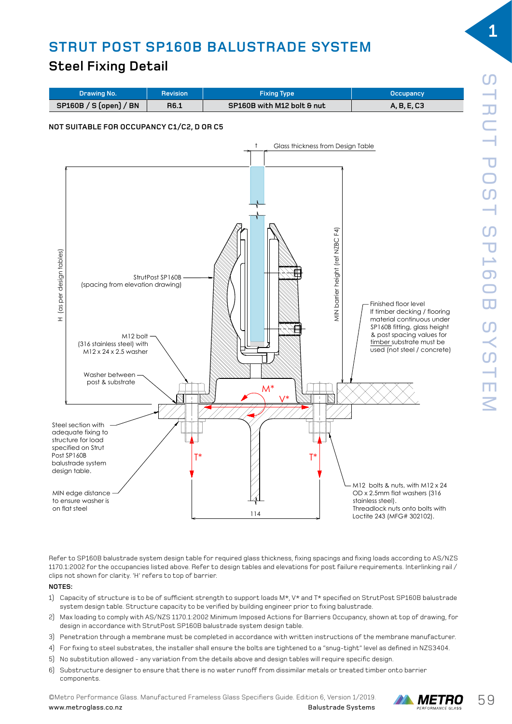## **STRUT POST SP160B BALUSTRADE SYSTEM** FIOUD DALUSINADE SIS

## **Steel Fixing Detail**



Refer to SP160B balustrade system design table for required glass thickness, fixing spacings and fixing loads according to AS/NZS **Notes:** 1170.1:2002 for the occupancies listed above. Refer to design tables and elevations for post failure requirements. Interlinking rail / 1) Capacity of structure is to be of sufficient strength to support loads M\*, V\* and T\* specified on StrutPost SP160B balustrade system clips not shown for clarity. 'H' refers to top of barrier. design table. Structure capacity to be verified by building to be verified by an engineer prior to fixing balu

#### **NOTES:**  for design in accordance with StrutPost Senator StrutPost Senator StrutPost SP160B balustrade system design ta

- .<br>1) Capacity of structure is to be of sufficient strength to support loads M\*, V\* and T\* specified on StrutPost SP160B balustrade system design table. Structure capacity to be verified by building engineer prior to fixing balustrade. system design table. Sur duture tapacity to be vermed by building engineer prior to ming baldstrade.
- 2) Max loading to comply with AS/NZS 1170.1:2002 Minimum Imposed Actions for Barriers Occupancy, shown at top of drawing, for design in accordance with StrutPost SP160B balustrade system design table.
- 3) Penetration through a membrane must be completed in accordance with written instructions of the membrane manufacturer.
- 4) For fixing to steel substrates, the installer shall ensure the bolts are tightened to a "snug-tight" level as defined in NZS3404.
- 5) No substitution allowed any variation from the details above and design tables will require specific design.
- 6) Substructure designer to ensure that there is no water runoff from dissimilar metals or treated timber onto barrier components.

**OMetro Performance Glass. Manufactured Frameless Glass Specifiers Guide. Edition 6, Version 1/2019.**  $\blacksquare$ <br>**Balustrade Systems Exagginal PERFORMANCE GLASS Specifiers Balustrade Systems** Balustrade Systems



**1**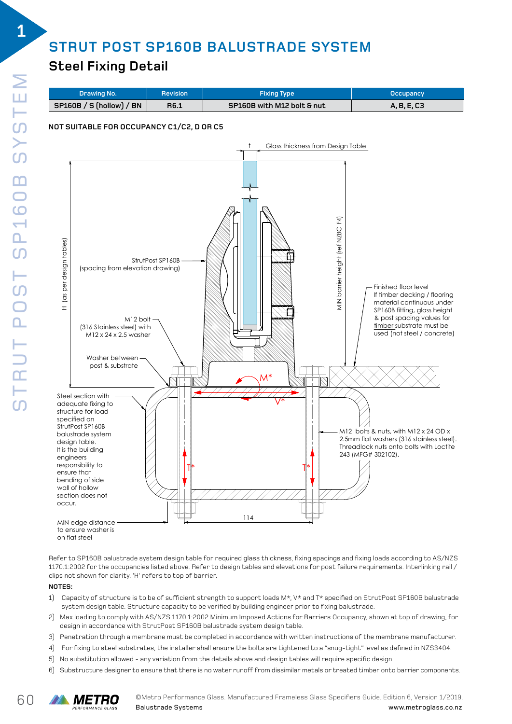## **STRUT POST SP160B BALUSTRADE SYSTEM** FIQUD DALUSINADE SISI

### **Steel Fixing Detail**  $\mathcal{F}$   $\mathcal{F}$   $\mathcal{F}$  bolt  $\mathcal{F}$  and  $\mathcal{F}$  are  $\mathcal{F}$  and  $\mathcal{F}$  and  $\mathcal{F}$  are  $\mathcal{F}$  and  $\mathcal{F}$  are  $\mathcal{F}$  and  $\mathcal{F}$  are  $\mathcal{F}$  and  $\mathcal{F}$  are  $\mathcal{F}$  and  $\mathcal{F}$  are  $\mathcal{F}$  and  $\mathcal{F}$



to ensure washer is on flat steel

Refer to SP160B balustrade system design table for required glass thickness, fixing spacings and fixing loads according to AS/NZS **Notes:** 1170.1:2002 for the occupancies listed above. Refer to design tables and elevations for post failure requirements. Interlinking rail / 1) Capacity of structure is to be of sufficient strength to support loads M\*, V\* and T\* specified on StrutPost SP160B balustrade system clips not shown for clarity. 'H' refers to top of barrier. design table. Structure capacity to be verified by building to the verified by building to fixing balustrade.

#### **NOTES:**  for design in accordance with StrutPost SP160B balustrade system design table.

- .<br>1) Capacity of structure is to be of sufficient strength to support loads M\*, V\* and T\* specified on StrutPost SP160B balustrade system design table. Structure capacity to be verified by building engineer prior to fixing balustrade. 5) No substitution allowed - any variation from the details above and design tables will require specific design.
- 2) Max loading to comply with AS/NZS 1170.1:2002 Minimum Imposed Actions for Barriers Occupancy, shown at top of drawing, for design in accordance with StrutPost SP160B balustrade system design table.
- 3) Penetration through a membrane must be completed in accordance with written instructions of the membrane manufacturer.
- 4) For fixing to steel substrates, the installer shall ensure the bolts are tightened to a "snug-tight" level as defined in NZS3404.
- 5) No substitution allowed any variation from the details above and design tables will require specific design.
- 6) Substructure designer to ensure that there is no water runoff from dissimilar metals or treated timber onto barrier components.

**1**

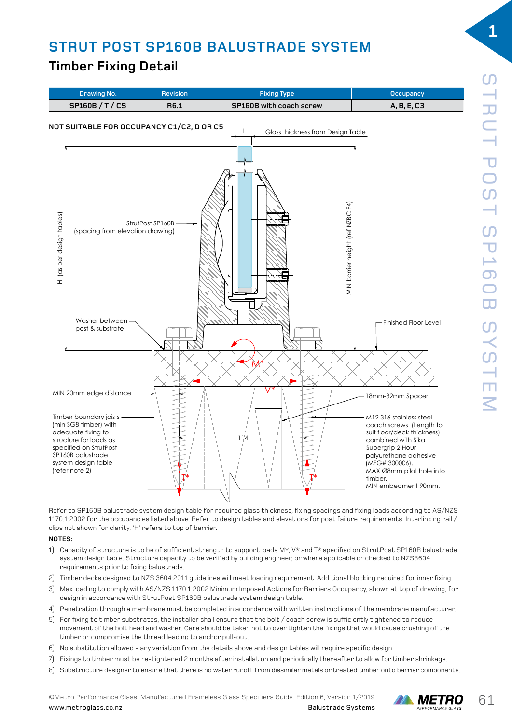### **STRUT POST SP160B BALUSTRADE SYSTEM**  TIMBER FIXING DETAILS

### **Timber Fixing Detail**  $F = \frac{1}{2}$  and  $F = \frac{1}{2}$



Refer to SP160B balustrade system design table for required glass thickness, fixing spacings and fixing loads according to AS/NZS **NOTES:** 1170.1:2002 for the occupancies listed above. Refer to design tables and elevations for post failure requirements. Interlinking rail / clips not shown for clarity. 'H' refers to top of barrier. erer to be fould balustrade system design table for required glass Ghickhess, Hxing spacings and Hxing loads according

#### **NOTES:**  2) Timber decks designed to NZS 3604:2011 guidelines will meet loading requirement. Additional blocking required for inner fixing.

- .<br>1) Capacity of structure is to be of sufficient strength to support loads M\*, V\* and T\* specified on StrutPost SP160B balustrade system design table. Structure capacity to be verified by building engineer, or where applicable or checked to NZS3604 requirements prior to fixing balustrade. The install ensure that the bolt  $\alpha$  is sufficiently tightened to reduce movements  $\alpha$  $\mu$  - Capacity or structure is to be or sufficient strength to support loads M $\star$ ,
- 2) Timber decks designed to NZS 3604:2011 guidelines will meet loading requirement. Additional blocking required for inner fixing.  $\frac{1}{2}$  compromise thread leading to a new pull-out pulse.
- 3) Max loading to comply with AS/NZS 1170.1:2002 Minimum Imposed Actions for Barriers Occupancy, shown at top of drawing, for design in accordance with StrutPost SP160B balustrade system design table.
- .<br>4) Penetration through a membrane must be completed in accordance with written instructions of the membrane manufacturer.
- 5) For fixing to timber substrates, the installer shall ensure that the bolt / coach screw is sufficiently tightened to reduce movement of the bolt head and washer. Care should be taken not to over tighten the fixings that would cause crushing of the timber or compromise the thread leading to anchor pull-out.
- 6) No substitution allowed any variation from the details above and design tables will require specific design.
- 7) Fixings to timber must be re-tightened 2 months after installation and periodically thereafter to allow for timber shrinkage.
- 8) Substructure designer to ensure that there is no water runoff from dissimilar metals or treated timber onto barrier components.

**OMetro Performance Glass. Manufactured Frameless Glass Specifiers Guide. Edition 6, Version 1/2019. METRO** 61 www.metroglass.co.nz Balustrade Systems



**1**